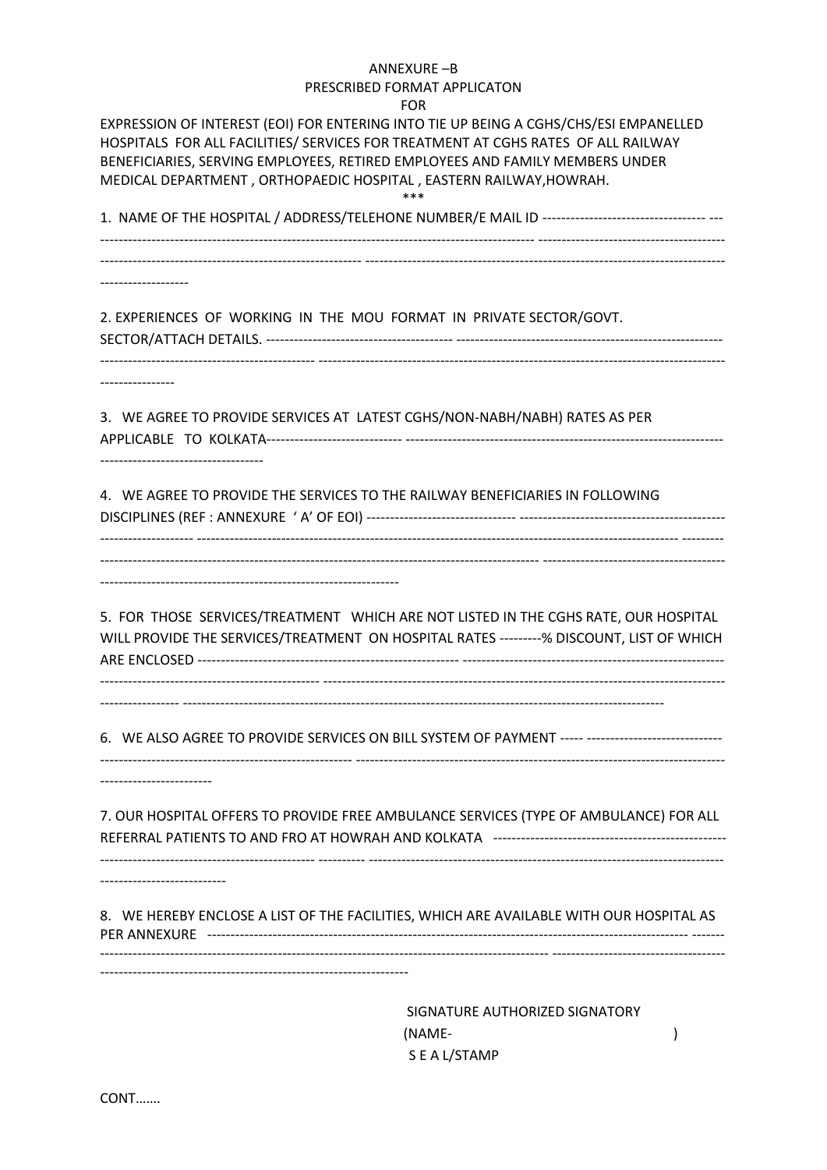## ANNEXURE –B PRESCRIBED FORMAT APPLICATON

FOR

| FUR<br>EXPRESSION OF INTEREST (EOI) FOR ENTERING INTO TIE UP BEING A CGHS/CHS/ESI EMPANELLED<br>HOSPITALS FOR ALL FACILITIES/ SERVICES FOR TREATMENT AT CGHS RATES OF ALL RAILWAY<br>BENEFICIARIES, SERVING EMPLOYEES, RETIRED EMPLOYEES AND FAMILY MEMBERS UNDER<br>MEDICAL DEPARTMENT, ORTHOPAEDIC HOSPITAL, EASTERN RAILWAY, HOWRAH. |
|-----------------------------------------------------------------------------------------------------------------------------------------------------------------------------------------------------------------------------------------------------------------------------------------------------------------------------------------|
|                                                                                                                                                                                                                                                                                                                                         |
| 2. EXPERIENCES OF WORKING IN THE MOU FORMAT IN PRIVATE SECTOR/GOVT.<br>------------------------- ---------                                                                                                                                                                                                                              |
| 3. WE AGREE TO PROVIDE SERVICES AT LATEST CGHS/NON-NABH/NABH) RATES AS PER                                                                                                                                                                                                                                                              |
| 4. WE AGREE TO PROVIDE THE SERVICES TO THE RAILWAY BENEFICIARIES IN FOLLOWING                                                                                                                                                                                                                                                           |
| 5. FOR THOSE SERVICES/TREATMENT WHICH ARE NOT LISTED IN THE CGHS RATE, OUR HOSPITAL<br>WILL PROVIDE THE SERVICES/TREATMENT ON HOSPITAL RATES ---------% DISCOUNT, LIST OF WHICH                                                                                                                                                         |
| 6. WE ALSO AGREE TO PROVIDE SERVICES ON BILL SYSTEM OF PAYMENT ----- -----------------------------                                                                                                                                                                                                                                      |
| 7. OUR HOSPITAL OFFERS TO PROVIDE FREE AMBULANCE SERVICES (TYPE OF AMBULANCE) FOR ALL                                                                                                                                                                                                                                                   |
| 8. WE HEREBY ENCLOSE A LIST OF THE FACILITIES, WHICH ARE AVAILABLE WITH OUR HOSPITAL AS                                                                                                                                                                                                                                                 |
| SIGNATURE AUTHORIZED SIGNATORY                                                                                                                                                                                                                                                                                                          |

 (NAME- ) S E A L/STAMP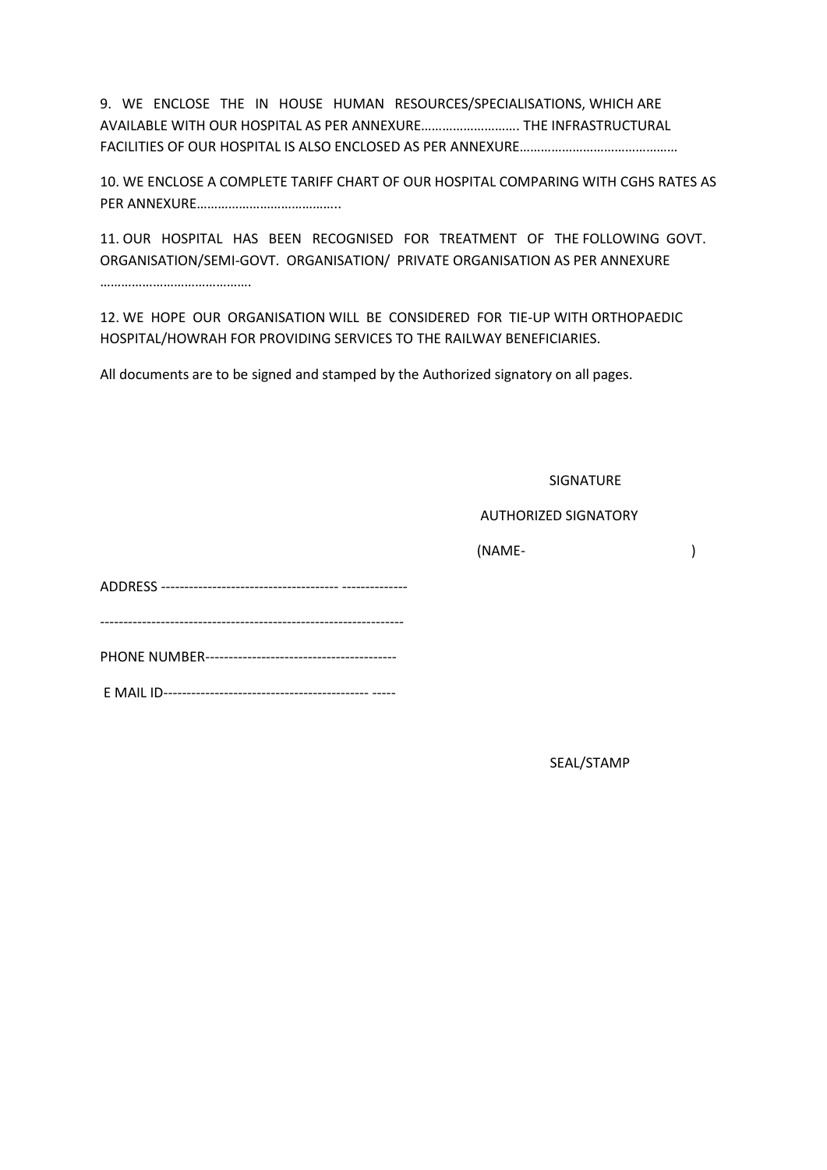9. WE ENCLOSE THE IN HOUSE HUMAN RESOURCES/SPECIALISATIONS, WHICH ARE AVAILABLE WITH OUR HOSPITAL AS PER ANNEXURE………………………. THE INFRASTRUCTURAL FACILITIES OF OUR HOSPITAL IS ALSO ENCLOSED AS PER ANNEXURE………………………………………

10. WE ENCLOSE A COMPLETE TARIFF CHART OF OUR HOSPITAL COMPARING WITH CGHS RATES AS PER ANNEXURE…………………………………..

11. OUR HOSPITAL HAS BEEN RECOGNISED FOR TREATMENT OF THE FOLLOWING GOVT. ORGANISATION/SEMI-GOVT. ORGANISATION/ PRIVATE ORGANISATION AS PER ANNEXURE …………………………………….

12. WE HOPE OUR ORGANISATION WILL BE CONSIDERED FOR TIE-UP WITH ORTHOPAEDIC HOSPITAL/HOWRAH FOR PROVIDING SERVICES TO THE RAILWAY BENEFICIARIES.

All documents are to be signed and stamped by the Authorized signatory on all pages.

SIGNATURE

## AUTHORIZED SIGNATORY

(NAME- )

ADDRESS -------------------------------------- --------------

PHONE NUMBER-----------------------------------------

-----------------------------------------------------------------

E MAIL ID-------------------------------------------- -----

SEAL/STAMP